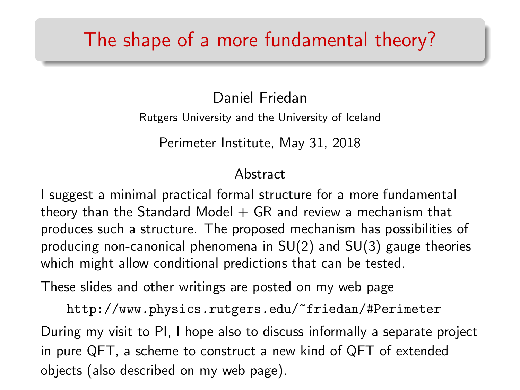## The shape of a more fundamental theory?

Daniel Friedan Rutgers University and the University of Iceland

Perimeter Institute, May 31, 2018

#### Abstract

I suggest a minimal practical formal structure for a more fundamental theory than the Standard Model  $+$  GR and review a mechanism that produces such a structure. The proposed mechanism has possibilities of producing non-canonical phenomena in SU(2) and SU(3) gauge theories which might allow conditional predictions that can be tested.

These slides and other writings are posted on my web page

<http://www.physics.rutgers.edu/~friedan/#Perimeter> During my visit to PI, I hope also to discuss informally a separate project in pure QFT, a scheme to construct a new kind of QFT of extended objects (also described on my web page).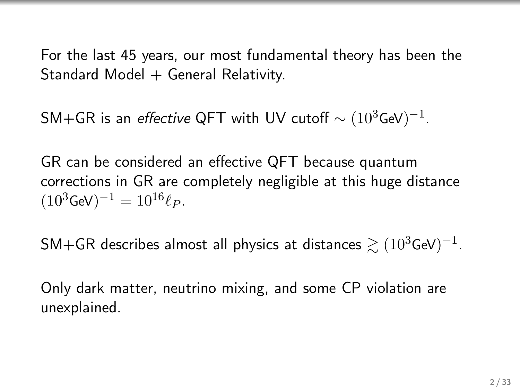For the last 45 years, our most fundamental theory has been the Standard Model  $+$  General Relativity.

<code>SM+GR</code> is an *effective* QFT with UV cutoff  $\sim (10^3$ GeV) $^{-1}.$ 

GR can be considered an effective QFT because quantum corrections in GR are completely negligible at this huge distance  $(10^3 \text{GeV})^{-1} = 10^{16} \ell_P.$ 

SM+GR describes almost all physics at distances  $\gtrsim (10^3$ GeV) $^{-1}$ .

Only dark matter, neutrino mixing, and some CP violation are unexplained.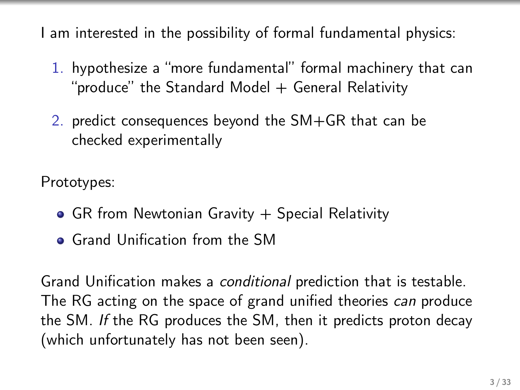I am interested in the possibility of formal fundamental physics:

- 1. hypothesize a "more fundamental" formal machinery that can "produce" the Standard Model  $+$  General Relativity
- 2. predict consequences beyond the SM+GR that can be checked experimentally

Prototypes:

- $\bullet$  GR from Newtonian Gravity  $+$  Special Relativity
- **Grand Unification from the SM**

Grand Unification makes a conditional prediction that is testable. The RG acting on the space of grand unified theories can produce the SM. If the RG produces the SM, then it predicts proton decay (which unfortunately has not been seen).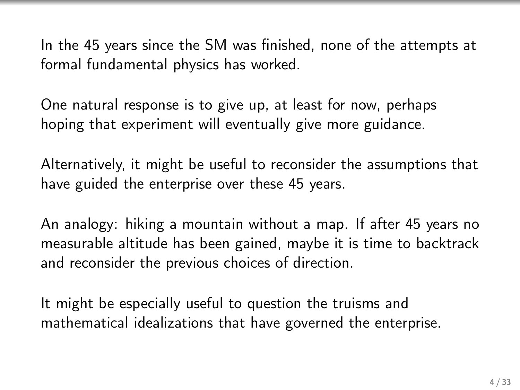In the 45 years since the SM was finished, none of the attempts at formal fundamental physics has worked.

One natural response is to give up, at least for now, perhaps hoping that experiment will eventually give more guidance.

Alternatively, it might be useful to reconsider the assumptions that have guided the enterprise over these 45 years.

An analogy: hiking a mountain without a map. If after 45 years no measurable altitude has been gained, maybe it is time to backtrack and reconsider the previous choices of direction.

It might be especially useful to question the truisms and mathematical idealizations that have governed the enterprise.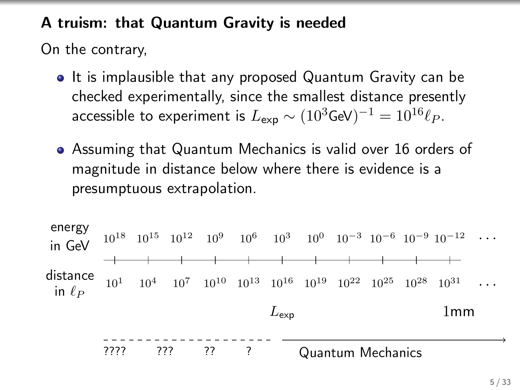#### A truism: that Quantum Gravity is needed

On the contrary,

- It is implausible that any proposed Quantum Gravity can be checked experimentally, since the smallest distance presently accessible to experiment is  $L_{\sf exp} \sim (10^3$ GeV $)^{-1} = 10^{16} \ell_P.$
- Assuming that Quantum Mechanics is valid over 16 orders of magnitude in distance below where there is evidence is a presumptuous extrapolation.

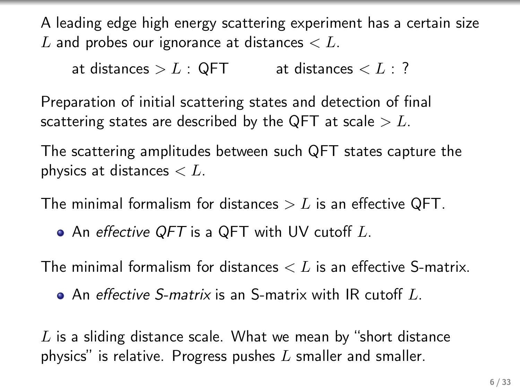A leading edge high energy scattering experiment has a certain size L and probes our ignorance at distances  $\lt L$ .

at distances  $>L : QFT$  at distances  $$ 

Preparation of initial scattering states and detection of final scattering states are described by the QFT at scale  $>L$ .

The scattering amplitudes between such QFT states capture the physics at distances  $\lt L$ .

The minimal formalism for distances  $>L$  is an effective QFT.

• An effective QFT is a QFT with UV cutoff L.

The minimal formalism for distances  $\lt L$  is an effective S-matrix.

 $\bullet$  An effective S-matrix is an S-matrix with IR cutoff L.

 $L$  is a sliding distance scale. What we mean by "short distance physics" is relative. Progress pushes  $L$  smaller and smaller.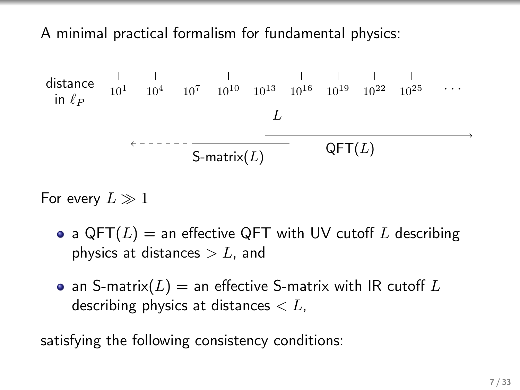A minimal practical formalism for fundamental physics:



For every  $L \gg 1$ 

- a QFT( $L$ ) = an effective QFT with UV cutoff  $L$  describing physics at distances  $>L$ , and
- $\bullet$  an S-matrix( $L$ )  $=$  an effective S-matrix with IR cutoff  $L$ describing physics at distances  $\lt L$ ,

satisfying the following consistency conditions: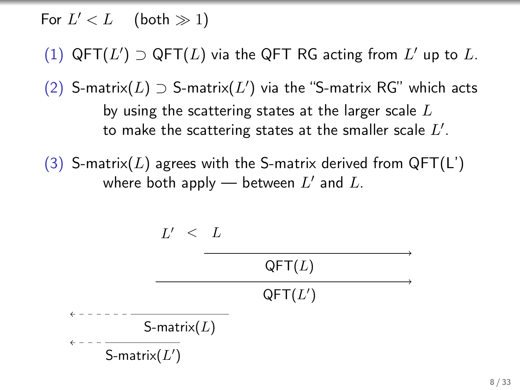For  $L' < L$  (both  $\gg 1$ )

(1)  $\mathsf{QFT}(L') \supset \mathsf{QFT}(L)$  via the  $\mathsf{QFT}$  RG acting from  $L'$  up to  $L$ .

(2) S-matrix( $L$ ) ⊃ S-matrix( $L'$ ) via the "S-matrix RG" which acts by using the scattering states at the larger scale  $L$ to make the scattering states at the smaller scale  $L^{\prime}.$ 

(3) S-matrix(L) agrees with the S-matrix derived from  $QFT(L')$ where both apply — between  $L'$  and  $L$ .

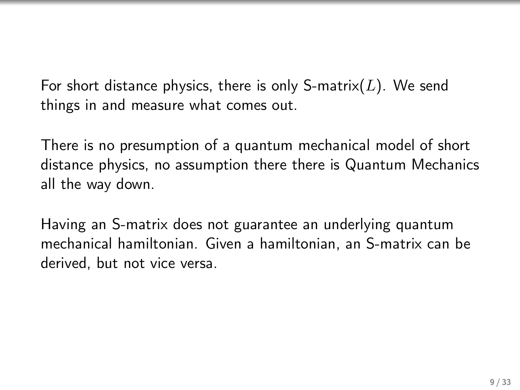For short distance physics, there is only S-matrix( $L$ ). We send things in and measure what comes out.

There is no presumption of a quantum mechanical model of short distance physics, no assumption there there is Quantum Mechanics all the way down.

Having an S-matrix does not guarantee an underlying quantum mechanical hamiltonian. Given a hamiltonian, an S-matrix can be derived, but not vice versa.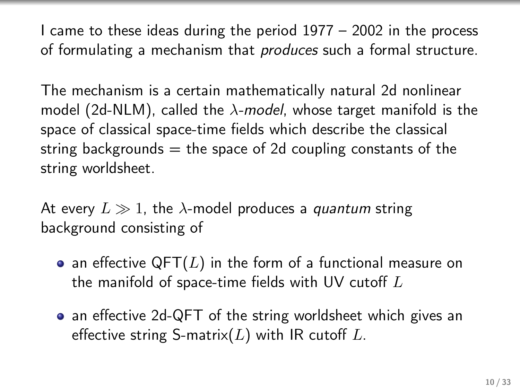I came to these ideas during the period 1977 – 2002 in the process of formulating a mechanism that produces such a formal structure.

The mechanism is a certain mathematically natural 2d nonlinear model (2d-NLM), called the  $\lambda$ -model, whose target manifold is the space of classical space-time fields which describe the classical string backgrounds  $=$  the space of 2d coupling constants of the string worldsheet.

At every  $L \gg 1$ , the  $\lambda$ -model produces a quantum string background consisting of

- an effective QFT $(L)$  in the form of a functional measure on the manifold of space-time fields with UV cutoff  $L$
- an effective 2d-QFT of the string worldsheet which gives an effective string S-matrix( $L$ ) with IR cutoff  $L$ .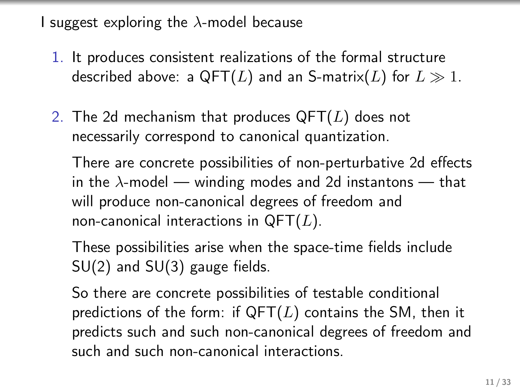I suggest exploring the  $\lambda$ -model because

- 1. It produces consistent realizations of the formal structure described above: a QFT(L) and an S-matrix(L) for  $L \gg 1$ .
- 2. The 2d mechanism that produces  $QFT(L)$  does not necessarily correspond to canonical quantization.

There are concrete possibilities of non-perturbative 2d effects in the  $\lambda$ -model — winding modes and 2d instantons — that will produce non-canonical degrees of freedom and non-canonical interactions in  $QFT(L)$ .

These possibilities arise when the space-time fields include SU(2) and SU(3) gauge fields.

So there are concrete possibilities of testable conditional predictions of the form: if  $QFT(L)$  contains the SM, then it predicts such and such non-canonical degrees of freedom and such and such non-canonical interactions.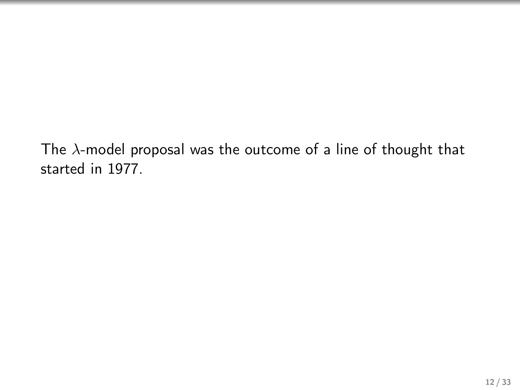The  $\lambda$ -model proposal was the outcome of a line of thought that started in 1977.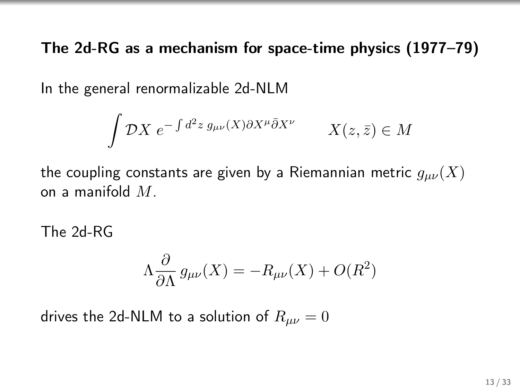The 2d-RG as a mechanism for space-time physics (1977–79)

In the general renormalizable 2d-NLM

$$
\int \mathcal{D}X \ e^{-\int d^2 z \ g_{\mu\nu}(X)\partial X^{\mu}\bar{\partial}X^{\nu}} \qquad X(z,\bar{z}) \in M
$$

the coupling constants are given by a Riemannian metric  $g_{\mu\nu}(X)$ on a manifold  $M$ .

The 2d-RG

$$
\Lambda \frac{\partial}{\partial \Lambda} g_{\mu\nu}(X) = -R_{\mu\nu}(X) + O(R^2)
$$

drives the 2d-NLM to a solution of  $R_{\mu\nu} = 0$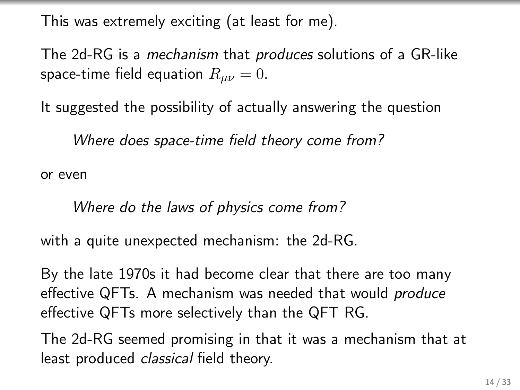This was extremely exciting (at least for me).

The 2d-RG is a mechanism that produces solutions of a GR-like space-time field equation  $R_{\mu\nu} = 0$ .

It suggested the possibility of actually answering the question

Where does space-time field theory come from?

or even

Where do the laws of physics come from?

with a quite unexpected mechanism: the 2d-RG.

By the late 1970s it had become clear that there are too many effective QFTs. A mechanism was needed that would *produce* effective QFTs more selectively than the QFT RG.

The 2d-RG seemed promising in that it was a mechanism that at least produced *classical* field theory.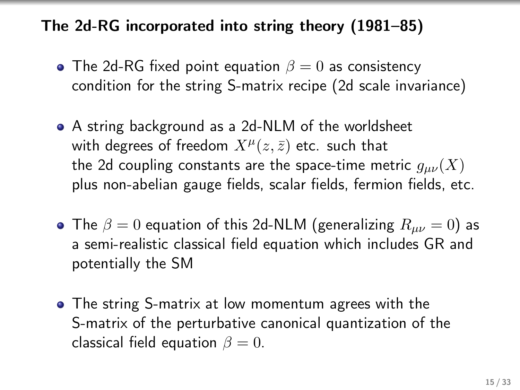### The 2d-RG incorporated into string theory (1981–85)

- The 2d-RG fixed point equation  $\beta = 0$  as consistency condition for the string S-matrix recipe (2d scale invariance)
- A string background as a 2d-NLM of the worldsheet with degrees of freedom  $X^{\mu}(z,\bar{z})$  etc. such that the 2d coupling constants are the space-time metric  $g_{\mu\nu}(X)$ plus non-abelian gauge fields, scalar fields, fermion fields, etc.
- The  $\beta = 0$  equation of this 2d-NLM (generalizing  $R_{\mu\nu} = 0$ ) as a semi-realistic classical field equation which includes GR and potentially the SM
- The string S-matrix at low momentum agrees with the S-matrix of the perturbative canonical quantization of the classical field equation  $\beta = 0$ .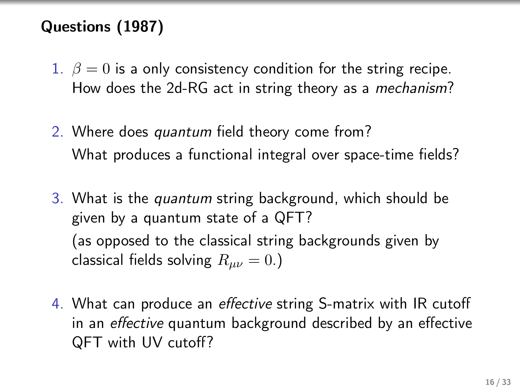### Questions (1987)

- 1.  $\beta = 0$  is a only consistency condition for the string recipe. How does the 2d-RG act in string theory as a mechanism?
- 2. Where does quantum field theory come from? What produces a functional integral over space-time fields?
- 3. What is the quantum string background, which should be given by a quantum state of a QFT? (as opposed to the classical string backgrounds given by classical fields solving  $R_{\mu\nu} = 0.$ )
- 4. What can produce an effective string S-matrix with IR cutoff in an effective quantum background described by an effective QFT with UV cutoff?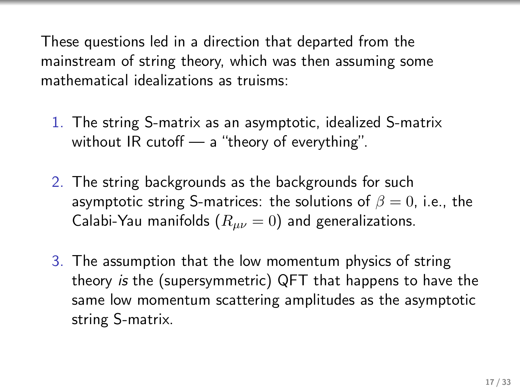These questions led in a direction that departed from the mainstream of string theory, which was then assuming some mathematical idealizations as truisms:

- 1. The string S-matrix as an asymptotic, idealized S-matrix without IR cutoff — a "theory of everything".
- 2. The string backgrounds as the backgrounds for such asymptotic string S-matrices: the solutions of  $\beta = 0$ , i.e., the Calabi-Yau manifolds ( $R_{\mu\nu} = 0$ ) and generalizations.
- 3. The assumption that the low momentum physics of string theory is the (supersymmetric) QFT that happens to have the same low momentum scattering amplitudes as the asymptotic string S-matrix.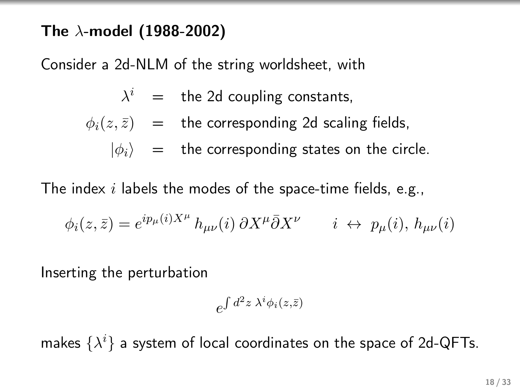#### The  $\lambda$ -model (1988-2002)

Consider a 2d-NLM of the string worldsheet, with

$$
\lambda^i = \text{the 2d coupling constants},
$$

$$
\phi_i(z,\bar{z}) = \text{the corresponding 2d scaling fields,}
$$

 $|\phi_i\rangle$  = the corresponding states on the circle.

The index  $i$  labels the modes of the space-time fields, e.g.,

$$
\phi_i(z,\bar{z}) = e^{ip_\mu(i)X^\mu} h_{\mu\nu}(i) \, \partial X^\mu \bar{\partial} X^\nu \qquad i \leftrightarrow p_\mu(i), h_{\mu\nu}(i)
$$

Inserting the perturbation

$$
e^{\int d^2z \; \lambda^i \phi_i(z,\bar{z})}
$$

makes  $\{\lambda^i\}$  a system of local coordinates on the space of 2d-QFTs.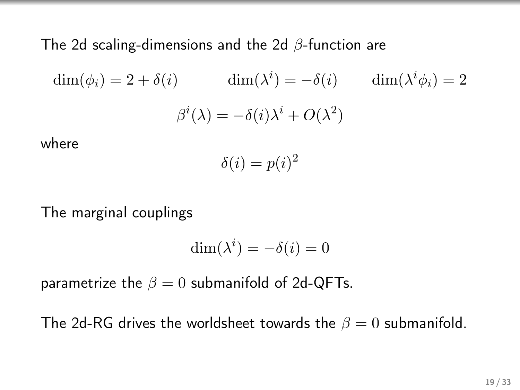The 2d scaling-dimensions and the 2d β-function are

$$
\dim(\phi_i) = 2 + \delta(i) \qquad \dim(\lambda^i) = -\delta(i) \qquad \dim(\lambda^i \phi_i) = 2
$$

$$
\beta^i(\lambda) = -\delta(i)\lambda^i + O(\lambda^2)
$$

where

$$
\delta(i) = p(i)^2
$$

The marginal couplings

$$
\dim(\lambda^i) = -\delta(i) = 0
$$

parametrize the  $\beta = 0$  submanifold of 2d-QFTs.

The 2d-RG drives the worldsheet towards the  $\beta = 0$  submanifold.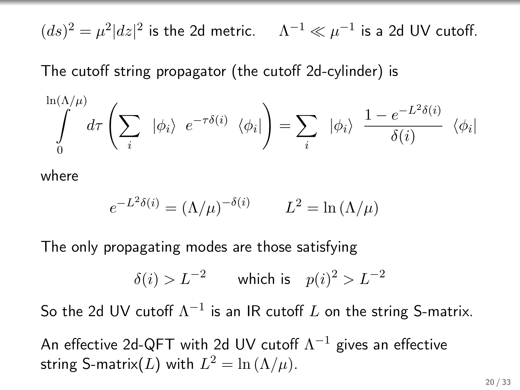$(ds)^2 = \mu^2 |dz|^2$  is the 2d metric.  $\quad \Lambda^{-1} \ll \mu^{-1}$  is a 2d UV cutoff.

The cutoff string propagator (the cutoff 2d-cylinder) is

$$
\int_{0}^{\ln(\Lambda/\mu)} d\tau \left(\sum_{i} |\phi_{i}\rangle e^{-\tau\delta(i)} \langle \phi_{i}|\right) = \sum_{i} |\phi_{i}\rangle \frac{1 - e^{-L^{2}\delta(i)}}{\delta(i)} \langle \phi_{i}|\right)
$$

where

$$
e^{-L^2 \delta(i)} = (\Lambda/\mu)^{-\delta(i)} \qquad L^2 = \ln(\Lambda/\mu)
$$

The only propagating modes are those satisfying

$$
\delta(i) > L^{-2} \qquad \text{which is} \quad p(i)^2 > L^{-2}
$$

So the 2d UV cutoff  $\Lambda^{-1}$  is an IR cutoff  $L$  on the string S-matrix.

An effective 2d-QFT with 2d UV cutoff  $\Lambda^{-1}$  gives an effective string S-matrix(L) with  $L^2 = \ln (\Lambda/\mu)$ .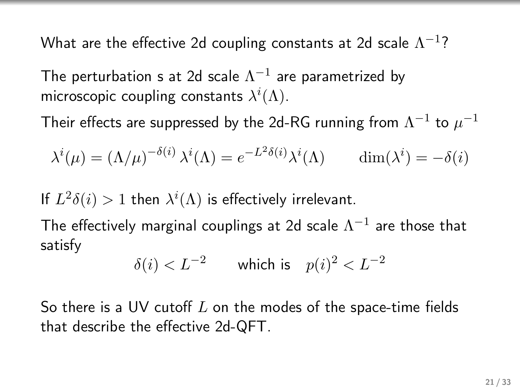What are the effective 2d coupling constants at 2d scale  $\Lambda^{-1}$ ?

The perturbation s at 2d scale  $\Lambda^{-1}$  are parametrized by microscopic coupling constants  $\lambda^i(\Lambda)$ .

Their effects are suppressed by the 2d-RG running from  $\Lambda^{-1}$  to  $\mu^{-1}$ 

$$
\lambda^{i}(\mu) = (\Lambda/\mu)^{-\delta(i)} \lambda^{i}(\Lambda) = e^{-L^{2}\delta(i)} \lambda^{i}(\Lambda) \qquad \dim(\lambda^{i}) = -\delta(i)
$$

If  $L^2\delta(i) > 1$  then  $\lambda^i(\Lambda)$  is effectively irrelevant.

The effectively marginal couplings at 2d scale  $\Lambda^{-1}$  are those that satisfy

$$
\delta(i) < L^{-2} \qquad \text{which is} \quad p(i)^2 < L^{-2}
$$

So there is a UV cutoff  $L$  on the modes of the space-time fields that describe the effective 2d-QFT.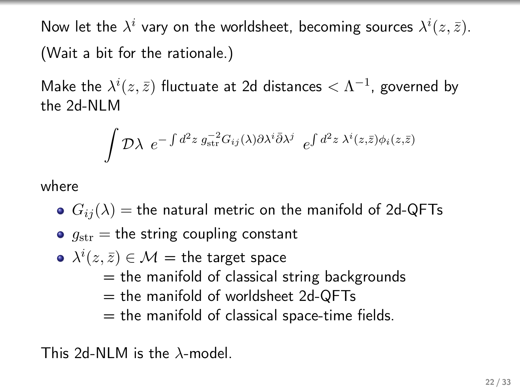Now let the  $\lambda^i$  vary on the worldsheet, becoming sources  $\lambda^i(z,\bar{z}).$ (Wait a bit for the rationale.)

Make the  $\lambda^i(z,\bar{z})$  fluctuate at 2d distances  $<\Lambda^{-1}$ , governed by the 2d-NLM

$$
\int \mathcal{D}\lambda \ e^{-\int d^2z \ g_{\rm str}^{-2}G_{ij}(\lambda)\partial \lambda^i \bar{\partial} \lambda^j} \ e^{\int d^2z \ \lambda^i(z,\bar{z})\phi_i(z,\bar{z})}
$$

where

- $G_{ij}(\lambda)$  = the natural metric on the manifold of 2d-QFTs
- $g_{\text{str}} =$  the string coupling constant
- $\lambda^i(z,\bar{z})\in\mathcal{M}=$  the target space  $=$  the manifold of classical string backgrounds  $=$  the manifold of worldsheet 2d-QFTs  $=$  the manifold of classical space-time fields.

This 2d-NLM is the  $\lambda$ -model.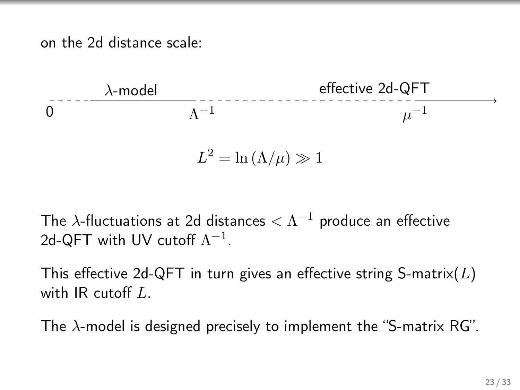on the 2d distance scale:



$$
L^2 = \ln(\Lambda/\mu) \gg 1
$$

The  $\lambda$ -fluctuations at 2d distances  $<\Lambda^{-1}$  produce an effective 2d-QFT with UV cutoff  $\Lambda^{-1}$ .

This effective 2d-QFT in turn gives an effective string S-matrix( $L$ ) with IR cutoff L.

The  $\lambda$ -model is designed precisely to implement the "S-matrix RG".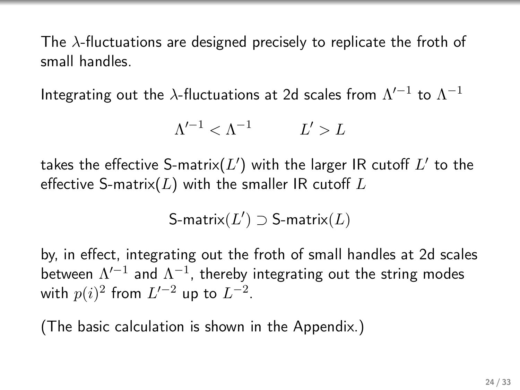The  $\lambda$ -fluctuations are designed precisely to replicate the froth of small handles.

Integrating out the  $\lambda$ -fluctuations at 2d scales from  $\Lambda'^{-1}$  to  $\Lambda^{-1}$ 

$$
\Lambda'^{-1} < \Lambda^{-1} \qquad L' > L
$$

takes the effective S-matrix $(L^{\prime})$  with the larger IR cutoff  $L^{\prime}$  to the effective S-matrix( $L$ ) with the smaller IR cutoff  $L$ 

$$
\text{S-matrix}(L') \supset \text{S-matrix}(L)
$$

by, in effect, integrating out the froth of small handles at 2d scales between  $\Lambda'^{-1}$  and  $\Lambda^{-1}$ , thereby integrating out the string modes with  $p(i)^2$  from  $L^{\prime -2}$  up to  $L^{-2}.$ 

(The basic calculation is shown in the Appendix.)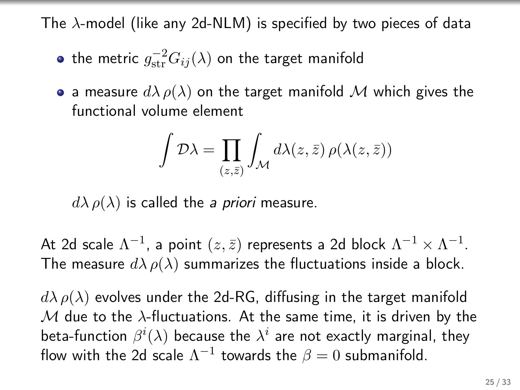The  $\lambda$ -model (like any 2d-NLM) is specified by two pieces of data

- the metric  $g_{\text{str}}^{-2}G_{ij}(\lambda)$  on the target manifold
- a measure  $d\lambda \rho(\lambda)$  on the target manifold M which gives the functional volume element

$$
\int \mathcal{D}\lambda = \prod_{(z,\bar{z})} \int_{\mathcal{M}} d\lambda(z,\bar{z}) \,\rho(\lambda(z,\bar{z}))
$$

 $d\lambda \rho(\lambda)$  is called the a priori measure.

At 2d scale  $\Lambda^{-1}$ , a point  $(z, \bar{z})$  represents a 2d block  $\Lambda^{-1} \times \Lambda^{-1}$ . The measure  $d\lambda \rho(\lambda)$  summarizes the fluctuations inside a block.

 $d\lambda \rho(\lambda)$  evolves under the 2d-RG, diffusing in the target manifold M due to the  $\lambda$ -fluctuations. At the same time, it is driven by the beta-function  $\beta^i(\lambda)$  because the  $\lambda^i$  are not exactly marginal, they flow with the 2d scale  $\Lambda^{-1}$  towards the  $\beta=0$  submanifold.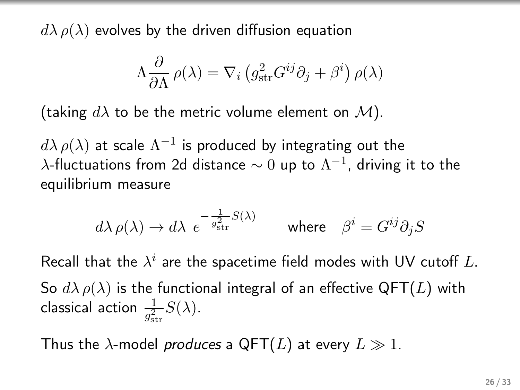$d\lambda \rho(\lambda)$  evolves by the driven diffusion equation

$$
\Lambda \frac{\partial}{\partial \Lambda} \rho(\lambda) = \nabla_i \left( g_{\rm str}^2 G^{ij} \partial_j + \beta^i \right) \rho(\lambda)
$$

(taking  $d\lambda$  to be the metric volume element on  $\mathcal{M}$ ).

 $d\lambda\,\rho(\lambda)$  at scale  $\Lambda^{-1}$  is produced by integrating out the  $\lambda$ -fluctuations from 2d distance  $\sim 0$  up to  $\Lambda^{-1}$ , driving it to the equilibrium measure

$$
d\lambda \, \rho(\lambda) \to d\lambda \, \, e^{-\frac{1}{g_{\rm str}^2} S(\lambda)} \qquad \text{where} \quad \beta^i = G^{ij} \partial_j S
$$

Recall that the  $\lambda^i$  are the spacetime field modes with UV cutoff  $L.$ So  $d\lambda \rho(\lambda)$  is the functional integral of an effective QFT(L) with classical action  $\frac{1}{g_{\rm str}^2}S(\lambda)$ .

Thus the  $\lambda$ -model *produces* a QFT(L) at every  $L \gg 1$ .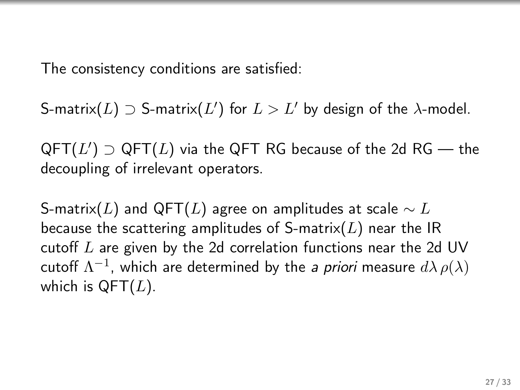The consistency conditions are satisfied:

S-matrix $(L) \supset$  S-matrix $(L')$  for  $L > L'$  by design of the  $\lambda$ -model.

 $\mathsf{QFT}(L')\supset\mathsf{QFT}(L)$  via the  $\mathsf{QFT}$  RG because of the 2d RG — the decoupling of irrelevant operators.

S-matrix(L) and QFT(L) agree on amplitudes at scale  $\sim L$ because the scattering amplitudes of S-matrix( $L$ ) near the IR cutoff  $L$  are given by the 2d correlation functions near the 2d UV cutoff  $\Lambda^{-1}$ , which are determined by the *a priori* measure  $d\lambda\,\rho(\lambda)$ which is  $QFT(L)$ .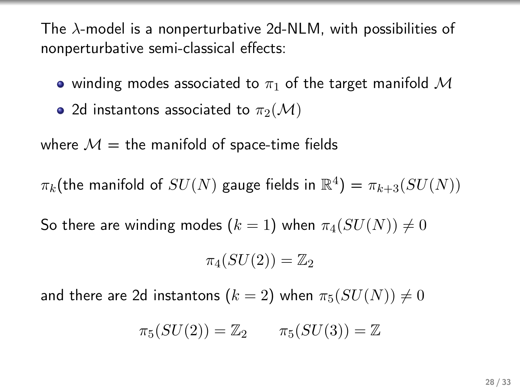The  $\lambda$ -model is a nonperturbative 2d-NLM, with possibilities of nonperturbative semi-classical effects:

- winding modes associated to  $\pi_1$  of the target manifold M
- 2d instantons associated to  $\pi_2(\mathcal{M})$

where  $M =$  the manifold of space-time fields

 $\pi_k(\text{the manifold of }SU(N)$  gauge fields in  $\mathbb{R}^4) = \pi_{k+3}(SU(N))$ 

So there are winding modes  $(k = 1)$  when  $\pi_4(SU(N)) \neq 0$ 

$$
\pi_4(SU(2))=\mathbb{Z}_2
$$

and there are 2d instantons  $(k = 2)$  when  $\pi_5(SU(N)) \neq 0$ 

$$
\pi_5(SU(2)) = \mathbb{Z}_2 \qquad \pi_5(SU(3)) = \mathbb{Z}
$$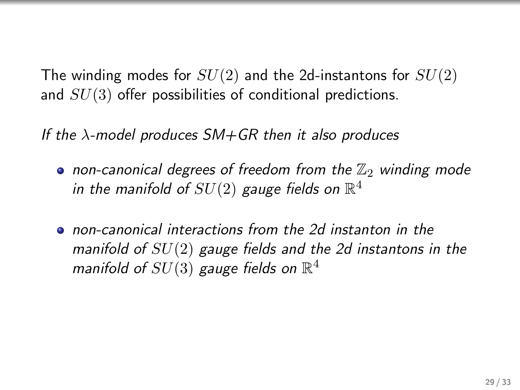The winding modes for  $SU(2)$  and the 2d-instantons for  $SU(2)$ and  $SU(3)$  offer possibilities of conditional predictions.

If the  $\lambda$ -model produces SM+GR then it also produces

- non-canonical degrees of freedom from the  $\mathbb{Z}_2$  winding mode in the manifold of  $SU(2)$  gauge fields on  $\mathbb{R}^4$
- non-canonical interactions from the 2d instanton in the manifold of  $SU(2)$  gauge fields and the 2d instantons in the manifold of  $SU(3)$  gauge fields on  $\mathbb{R}^4$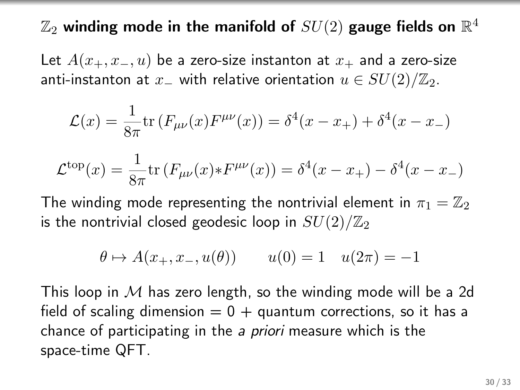### $\mathbb{Z}_2$  winding mode in the manifold of  $SU(2)$  gauge fields on  $\mathbb{R}^4$

Let  $A(x_+, x_-, u)$  be a zero-size instanton at  $x_+$  and a zero-size anti-instanton at  $x_$  with relative orientation  $u \in SU(2)/\mathbb{Z}_2$ .

$$
\mathcal{L}(x) = \frac{1}{8\pi} \text{tr} \left( F_{\mu\nu}(x) F^{\mu\nu}(x) \right) = \delta^4(x - x_+) + \delta^4(x - x_-)
$$

$$
\mathcal{L}^{\text{top}}(x) = \frac{1}{8\pi} \text{tr} \left( F_{\mu\nu}(x) * F^{\mu\nu}(x) \right) = \delta^4(x - x_+) - \delta^4(x - x_-)
$$

The winding mode representing the nontrivial element in  $\pi_1 = \mathbb{Z}_2$ is the nontrivial closed geodesic loop in  $SU(2)/\mathbb{Z}_2$ 

$$
\theta \mapsto A(x_+, x_-, u(\theta))
$$
  $u(0) = 1$   $u(2\pi) = -1$ 

This loop in  $M$  has zero length, so the winding mode will be a 2d field of scaling dimension  $= 0 +$  quantum corrections, so it has a chance of participating in the a priori measure which is the space-time QFT.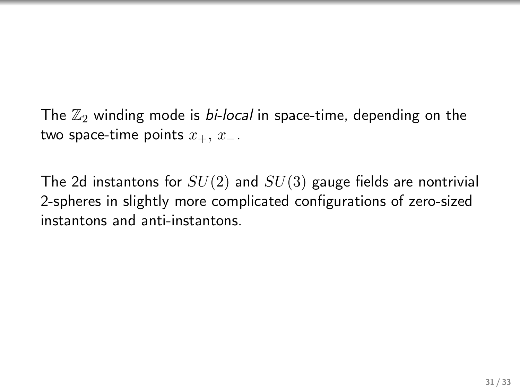The  $\mathbb{Z}_2$  winding mode is *bi-local* in space-time, depending on the two space-time points  $x_+$ ,  $x_-$ .

The 2d instantons for  $SU(2)$  and  $SU(3)$  gauge fields are nontrivial 2-spheres in slightly more complicated configurations of zero-sized instantons and anti-instantons.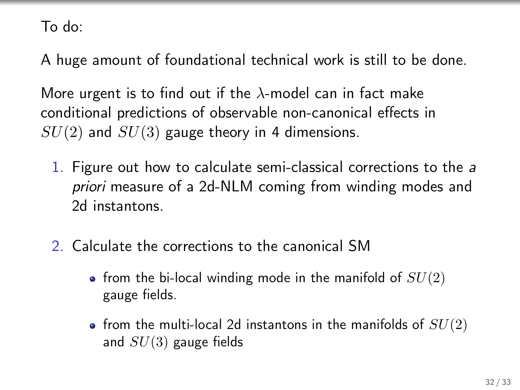To do:

A huge amount of foundational technical work is still to be done.

More urgent is to find out if the  $\lambda$ -model can in fact make conditional predictions of observable non-canonical effects in  $SU(2)$  and  $SU(3)$  gauge theory in 4 dimensions.

- 1. Figure out how to calculate semi-classical corrections to the a priori measure of a 2d-NLM coming from winding modes and 2d instantons.
- 2. Calculate the corrections to the canonical SM
	- from the bi-local winding mode in the manifold of  $SU(2)$ gauge fields.
	- from the multi-local 2d instantons in the manifolds of  $SU(2)$ and  $SU(3)$  gauge fields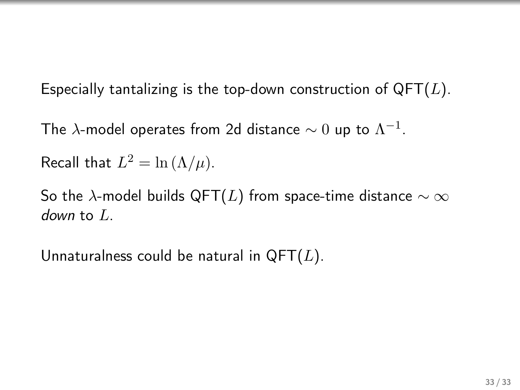Especially tantalizing is the top-down construction of  $QFT(L)$ .

The  $\lambda$ -model operates from 2d distance  $\sim 0$  up to  $\Lambda^{-1}.$ 

Recall that  $L^2 = \ln (\Lambda/\mu)$ .

So the  $\lambda$ -model builds QFT(L) from space-time distance  $\sim \infty$ down to  $L$ .

Unnaturalness could be natural in  $QFT(L)$ .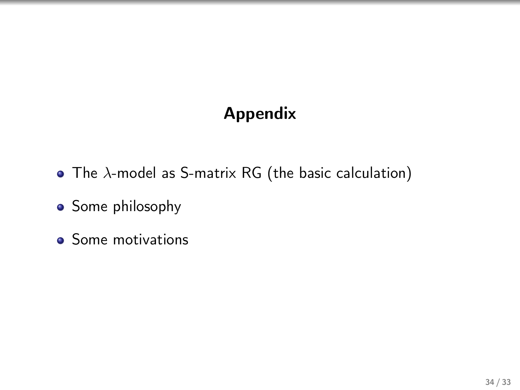### Appendix

- The  $\lambda$ -model as S-matrix RG (the basic calculation)
- Some philosophy
- Some motivations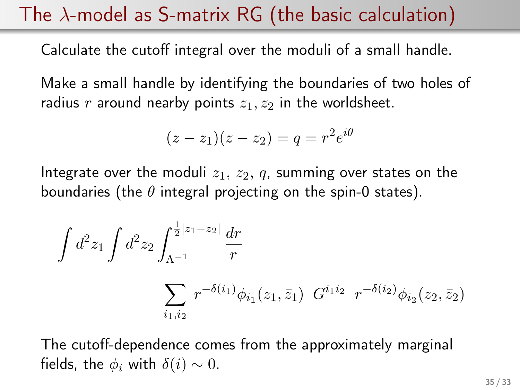# The  $\lambda$ -model as S-matrix RG (the basic calculation)

Calculate the cutoff integral over the moduli of a small handle.

Make a small handle by identifying the boundaries of two holes of radius r around nearby points  $z_1, z_2$  in the worldsheet.

$$
(z-z1)(z-z2) = q = r2ei\theta
$$

Integrate over the moduli  $z_1, z_2, q$ , summing over states on the boundaries (the  $\theta$  integral projecting on the spin-0 states).

$$
\int d^2 z_1 \int d^2 z_2 \int_{\Lambda^{-1}}^{\frac{1}{2}|z_1 - z_2|} \frac{dr}{r}
$$

$$
\sum_{i_1, i_2} r^{-\delta(i_1)} \phi_{i_1}(z_1, \bar{z}_1) G^{i_1 i_2} r^{-\delta(i_2)} \phi_{i_2}(z_2, \bar{z}_2)
$$

The cutoff-dependence comes from the approximately marginal fields, the  $\phi_i$  with  $\delta(i) \sim 0$ .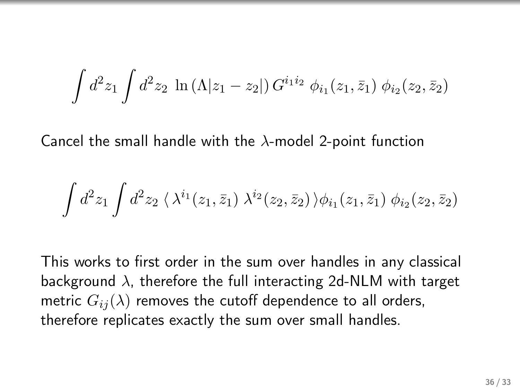$$
\int d^2 z_1 \int d^2 z_2 \, \ln \left( \Lambda |z_1 - z_2| \right) G^{i_1 i_2} \, \phi_{i_1}(z_1, \bar{z}_1) \, \phi_{i_2}(z_2, \bar{z}_2)
$$

Cancel the small handle with the  $\lambda$ -model 2-point function

$$
\int d^2 z_1 \int d^2 z_2 \, \langle \, \lambda^{i_1}(z_1,\bar z_1) \; \lambda^{i_2}(z_2,\bar z_2) \, \rangle \phi_{i_1}(z_1,\bar z_1) \; \phi_{i_2}(z_2,\bar z_2)
$$

This works to first order in the sum over handles in any classical background  $\lambda$ , therefore the full interacting 2d-NLM with target metric  $G_{ij}(\lambda)$  removes the cutoff dependence to all orders, therefore replicates exactly the sum over small handles.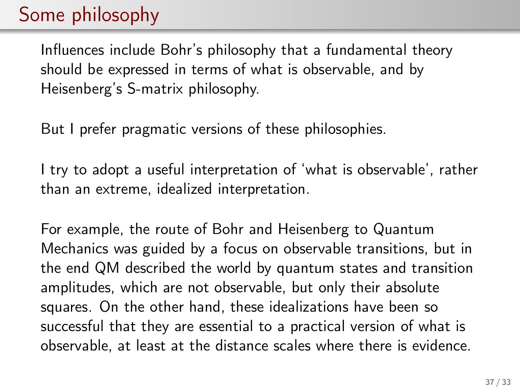# Some philosophy

Influences include Bohr's philosophy that a fundamental theory should be expressed in terms of what is observable, and by Heisenberg's S-matrix philosophy.

But I prefer pragmatic versions of these philosophies.

I try to adopt a useful interpretation of 'what is observable', rather than an extreme, idealized interpretation.

For example, the route of Bohr and Heisenberg to Quantum Mechanics was guided by a focus on observable transitions, but in the end QM described the world by quantum states and transition amplitudes, which are not observable, but only their absolute squares. On the other hand, these idealizations have been so successful that they are essential to a practical version of what is observable, at least at the distance scales where there is evidence.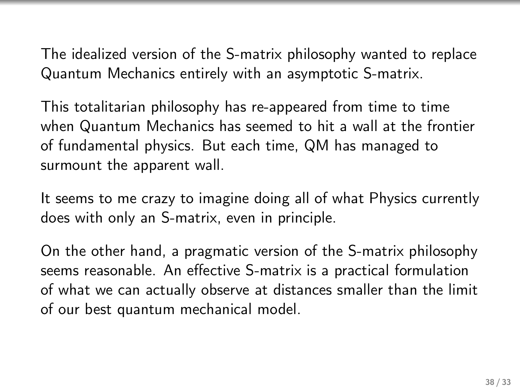The idealized version of the S-matrix philosophy wanted to replace Quantum Mechanics entirely with an asymptotic S-matrix.

This totalitarian philosophy has re-appeared from time to time when Quantum Mechanics has seemed to hit a wall at the frontier of fundamental physics. But each time, QM has managed to surmount the apparent wall.

It seems to me crazy to imagine doing all of what Physics currently does with only an S-matrix, even in principle.

On the other hand, a pragmatic version of the S-matrix philosophy seems reasonable. An effective S-matrix is a practical formulation of what we can actually observe at distances smaller than the limit of our best quantum mechanical model.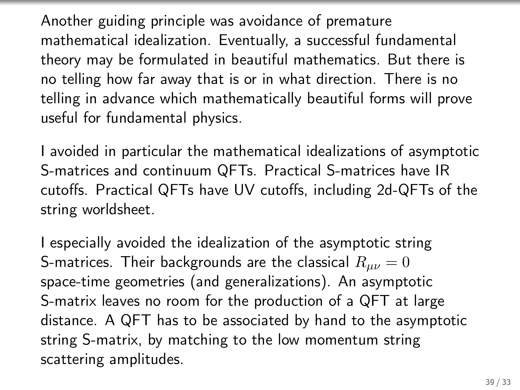Another guiding principle was avoidance of premature mathematical idealization. Eventually, a successful fundamental theory may be formulated in beautiful mathematics. But there is no telling how far away that is or in what direction. There is no telling in advance which mathematically beautiful forms will prove useful for fundamental physics.

I avoided in particular the mathematical idealizations of asymptotic S-matrices and continuum QFTs. Practical S-matrices have IR cutoffs. Practical QFTs have UV cutoffs, including 2d-QFTs of the string worldsheet.

I especially avoided the idealization of the asymptotic string S-matrices. Their backgrounds are the classical  $R_{\mu\nu} = 0$ space-time geometries (and generalizations). An asymptotic S-matrix leaves no room for the production of a QFT at large distance. A QFT has to be associated by hand to the asymptotic string S-matrix, by matching to the low momentum string scattering amplitudes.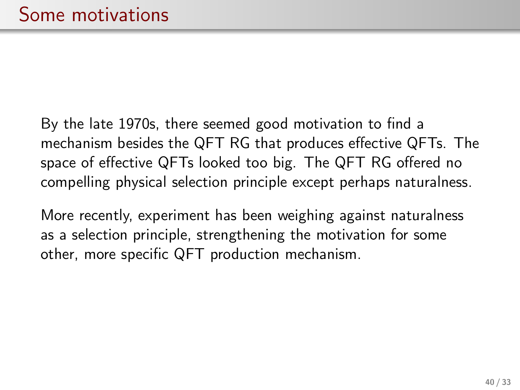By the late 1970s, there seemed good motivation to find a mechanism besides the QFT RG that produces effective QFTs. The space of effective QFTs looked too big. The QFT RG offered no compelling physical selection principle except perhaps naturalness.

More recently, experiment has been weighing against naturalness as a selection principle, strengthening the motivation for some other, more specific QFT production mechanism.